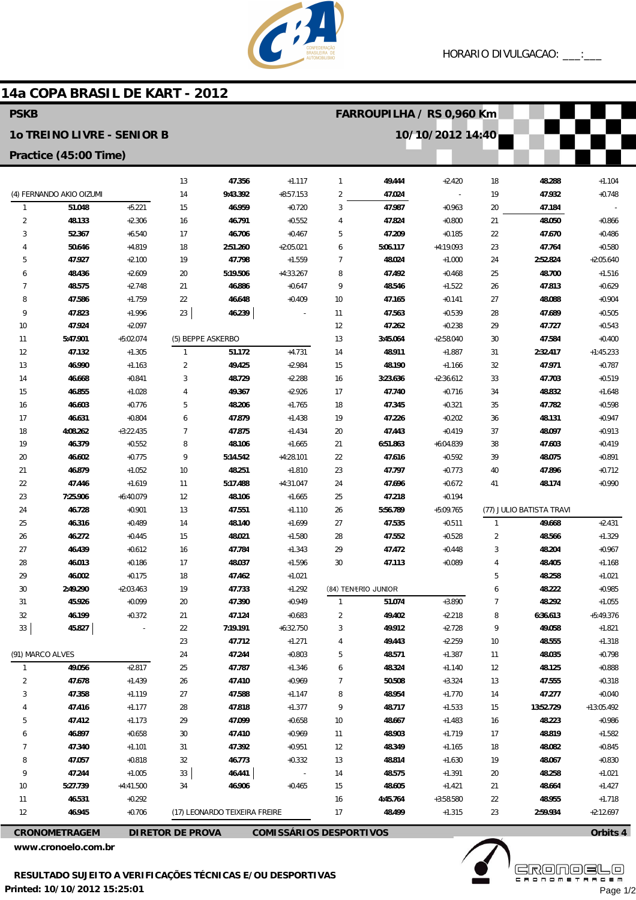

## 14a COPA BRASIL DE KART - 2012

| <b>PSKB</b>                                                             |                          |                      |                                                           |                               |                          |                | FARROUPILHA / RS 0,960 Km |                          |                |                          |                      |  |
|-------------------------------------------------------------------------|--------------------------|----------------------|-----------------------------------------------------------|-------------------------------|--------------------------|----------------|---------------------------|--------------------------|----------------|--------------------------|----------------------|--|
| 10/10/2012 14:40<br>10 TREINO LIVRE - SENIOR B<br>Practice (45:00 Time) |                          |                      |                                                           |                               |                          |                |                           |                          |                |                          |                      |  |
|                                                                         |                          |                      |                                                           |                               |                          |                |                           |                          |                |                          |                      |  |
|                                                                         | (4) FERNANDO AKIO OIZUMI |                      | 14                                                        | 9:43.392                      | $+8:57.153$              | 2              | 47.024                    | $\overline{\phantom{a}}$ | 19             | 47.932                   | $+0.748$             |  |
| $\mathbf{1}$                                                            | 51.048                   | $+5.221$             | 15                                                        | 46.959                        | $+0.720$                 | 3              | 47.987                    | $+0.963$                 | 20             | 47.184                   |                      |  |
| $\overline{2}$                                                          | 48.133                   | $+2.306$             | 16                                                        | 46.791                        | $+0.552$                 | 4              | 47.824                    | $+0.800$                 | 21             | 48.050                   | $+0.866$             |  |
| 3                                                                       | 52.367                   | $+6.540$             | 17                                                        | 46.706                        | $+0.467$                 | 5              | 47.209                    | $+0.185$                 | 22             | 47.670                   | $+0.486$             |  |
| 4                                                                       | 50.646                   | $+4.819$             | 18                                                        | 2:51.260                      | $+2:05.021$              | 6              | 5:06.117                  | $+4:19.093$              | 23             | 47.764                   | $+0.580$             |  |
| 5                                                                       | 47.927                   | $+2.100$             | 19                                                        | 47.798                        | $+1.559$                 | 7              | 48.024                    | $+1.000$                 | 24             | 2:52.824                 | $+2:05.640$          |  |
| 6                                                                       | 48.436                   | $+2.609$             | 20                                                        | 5:19.506                      | $+4:33.267$              | 8              | 47.492                    | $+0.468$                 | 25             | 48.700                   | $+1.516$             |  |
| $\overline{7}$                                                          | 48.575                   | $+2.748$             | 21                                                        | 46.886                        | $+0.647$                 | 9              | 48.546                    | $+1.522$                 | 26             | 47.813                   | $+0.629$             |  |
| 8                                                                       | 47.586                   | $+1.759$             | 22                                                        | 46.648                        | $+0.409$                 | 10             | 47.165                    | $+0.141$                 | 27             | 48.088                   | $+0.904$             |  |
| 9                                                                       | 47.823                   | $+1.996$             | 23                                                        | 46.239                        |                          | 11             | 47.563                    | $+0.539$                 | 28             | 47.689                   | $+0.505$             |  |
| 10                                                                      | 47.924                   | $+2.097$             |                                                           |                               |                          | 12             | 47.262                    | $+0.238$                 | 29             | 47.727                   | $+0.543$             |  |
| 11                                                                      | 5:47.901                 | $+5:02.074$          |                                                           | (5) BEPPE ASKERBO             |                          | 13             | 3:45.064                  | $+2:58.040$              | 30             | 47.584                   | $+0.400$             |  |
| 12                                                                      | 47.132                   | $+1.305$             | $\mathbf{1}$                                              | 51.172                        | $+4.731$                 | 14             | 48.911                    | $+1.887$                 | 31             | 2:32.417                 | $+1:45.233$          |  |
| 13                                                                      | 46.990                   | $+1.163$             | $\overline{2}$                                            | 49.425                        | $+2.984$                 | 15             | 48.190                    | $+1.166$                 | 32             | 47.971                   | $+0.787$             |  |
| 14                                                                      | 46.668                   | $+0.841$             | 3                                                         | 48.729                        | $+2.288$                 | 16             | 3:23.636                  | $+2:36.612$              | 33             | 47.703                   | $+0.519$             |  |
| 15                                                                      | 46.855                   | $+1.028$             | 4                                                         | 49.367                        | $+2.926$                 | 17             | 47.740                    | $+0.716$                 | 34             | 48.832                   | $+1.648$             |  |
| 16                                                                      | 46.603                   | $+0.776$             | 5                                                         | 48.206                        | $+1.765$                 | 18             | 47.345                    | $+0.321$                 | 35             | 47.782                   | $+0.598$             |  |
| 17                                                                      | 46.631                   | $+0.804$             | 6                                                         | 47.879                        | $+1.438$                 | 19             | 47.226                    | $+0.202$                 | 36             | 48.131                   | $+0.947$             |  |
| 18                                                                      | 4:08.262                 | $+3:22.435$          | $\overline{7}$                                            | 47.875                        | $+1.434$                 | $20\,$         | 47.443                    | $+0.419$                 | 37             | 48.097                   | $+0.913$             |  |
| 19                                                                      | 46.379                   | $+0.552$             | 8                                                         | 48.106                        | $+1.665$                 | 21             | 6:51.863                  | $+6:04.839$              | 38             | 47.603                   | $+0.419$             |  |
| 20                                                                      | 46.602                   | $+0.775$<br>$+1.052$ | 9                                                         | 5:14.542                      | $+4:28.101$              | 22             | 47.616                    | $+0.592$                 | 39             | 48.075                   | $+0.891$             |  |
| 21<br>22                                                                | 46.879                   | $+1.619$             | 10<br>11                                                  | 48.251<br>5:17.488            | $+1.810$<br>$+4:31.047$  | 23             | 47.797                    | $+0.773$<br>$+0.672$     | 40<br>41       | 47.896<br>48.174         | $+0.712$<br>$+0.990$ |  |
| 23                                                                      | 47.446<br>7:25.906       | $+6:40.079$          | 12                                                        | 48.106                        | $+1.665$                 | 24<br>25       | 47.696<br>47.218          | $+0.194$                 |                |                          |                      |  |
| 24                                                                      | 46.728                   | $+0.901$             | 13                                                        | 47.551                        | $+1.110$                 | 26             | 5:56.789                  | $+5:09.765$              |                | (77) JULIO BATISTA TRAVI |                      |  |
| 25                                                                      | 46.316                   | $+0.489$             | 14                                                        | 48.140                        | $+1.699$                 | 27             | 47.535                    | $+0.511$                 | $\mathbf{1}$   | 49.668                   | $+2.431$             |  |
| 26                                                                      | 46.272                   | $+0.445$             | 15                                                        | 48.021                        | $+1.580$                 | 28             | 47.552                    | $+0.528$                 | $\overline{2}$ | 48.566                   | $+1.329$             |  |
| 27                                                                      | 46.439                   | $+0.612$             | 16                                                        | 47.784                        | $+1.343$                 | 29             | 47.472                    | $+0.448$                 | 3              | 48.204                   | $+0.967$             |  |
| 28                                                                      | 46.013                   | $+0.186$             | 17                                                        | 48.037                        | $+1.596$                 | 30             | 47.113                    | $+0.089$                 | 4              | 48.405                   | $+1.168$             |  |
| 29                                                                      | 46.002                   | $+0.175$             | 18                                                        | 47.462                        | $+1.021$                 |                |                           |                          | 5              | 48.258                   | $+1.021$             |  |
| 30                                                                      | 2:49.290                 | $+2:03.463$          | 19                                                        | 47.733                        | $+1.292$                 |                | (84) TENERIO JUNIOR       |                          | 6              | 48.222                   | $+0.985$             |  |
| 31                                                                      | 45.926                   | $+0.099$             | 20                                                        | 47.390                        | $+0.949$                 | $\mathbf{1}$   | 51.074                    | $+3.890$                 | $\overline{7}$ | 48.292                   | $+1.055$             |  |
| 32                                                                      | 46.199                   | $+0.372$             | 21                                                        | 47.124                        | $+0.683$                 | 2              | 49.402                    | $+2.218$                 | 8              | 6:36.613                 | $+5:49.376$          |  |
| 33                                                                      | 45.827                   |                      | 22                                                        | 7:19.191                      | $+6:32.750$              | 3              | 49.912                    | $+2.728$                 | 9              | 49.058                   | $+1.821$             |  |
|                                                                         |                          |                      | 23                                                        | 47.712                        | $+1.271$                 | 4              | 49.443                    | $+2.259$                 | 10             | 48.555                   | $+1.318$             |  |
| (91) MARCO ALVES                                                        |                          |                      | 24                                                        | 47.244                        | $+0.803$                 | 5              | 48.571                    | $+1.387$                 | 11             | 48.035                   | $+0.798$             |  |
| $\mathbf{1}$                                                            | 49.056                   | $+2.817$             | 25                                                        | 47.787                        | $+1.346$                 | 6              | 48.324                    | $+1.140$                 | 12             | 48.125                   | $+0.888$             |  |
| 2                                                                       | 47.678                   | $+1.439$             | 26                                                        | 47.410                        | $+0.969$                 | $\overline{7}$ | 50.508                    | $+3.324$                 | 13             | 47.555                   | $+0.318$             |  |
| 3                                                                       | 47.358                   | $+1.119$             | 27                                                        | 47.588                        | $+1.147$                 | 8              | 48.954                    | $+1.770$                 | 14             | 47.277                   | $+0.040$             |  |
|                                                                         | 47.416                   | $+1.177$             | 28                                                        | 47.818                        | $+1.377$                 | 9              | 48.717                    | $+1.533$                 | 15             | 13:52.729                | +13:05.492           |  |
| 5                                                                       | 47.412                   | $+1.173$             | 29                                                        | 47.099                        | $+0.658$                 | 10             | 48.667                    | $+1.483$                 | 16             | 48.223                   | $+0.986$             |  |
| 6                                                                       | 46.897                   | $+0.658$             | 30                                                        | 47.410                        | $+0.969$                 | 11             | 48.903                    | $+1.719$                 | 17             | 48.819                   | $+1.582$             |  |
| 7                                                                       | 47.340                   | $+1.101$             | 31                                                        | 47.392                        | $+0.951$                 | 12             | 48.349                    | $+1.165$                 | 18             | 48.082                   | $+0.845$             |  |
| 8                                                                       | 47.057                   | $+0.818$             | 32                                                        | 46.773                        | $+0.332$                 | 13             | 48.814                    | $+1.630$                 | 19             | 48.067                   | $+0.830$             |  |
| 9                                                                       | 47.244                   | $+1.005$             | 33                                                        | 46.441                        | $\overline{\phantom{a}}$ | 14             | 48.575                    | $+1.391$                 | 20             | 48.258                   | $+1.021$             |  |
| 10                                                                      | 5:27.739                 | $+4:41.500$          | 34                                                        | 46.906                        | $+0.465$                 | 15             | 48.605                    | $+1.421$                 | 21             | 48.664                   | $+1.427$             |  |
| 11                                                                      | 46.531                   | $+0.292$             |                                                           |                               |                          | 16             | 4:45.764                  | $+3:58.580$              | 22             | 48.955                   | $+1.718$             |  |
| 12                                                                      | 46.945                   | $+0.706$             |                                                           | (17) LEONARDO TEIXEIRA FREIRE |                          | 17             | 48.499                    | $+1.315$                 | 23             | 2:59.934                 | $+2:12.697$          |  |
| <b>CRONOMETRAGEM</b>                                                    |                          |                      | <b>DIRETOR DE PROVA</b><br><b>COMISSÁRIOS DESPORTIVOS</b> |                               |                          |                |                           |                          |                |                          | Orbits 4             |  |

www.cronoelo.com.br



**EKÖUÖELE** Page 1/2